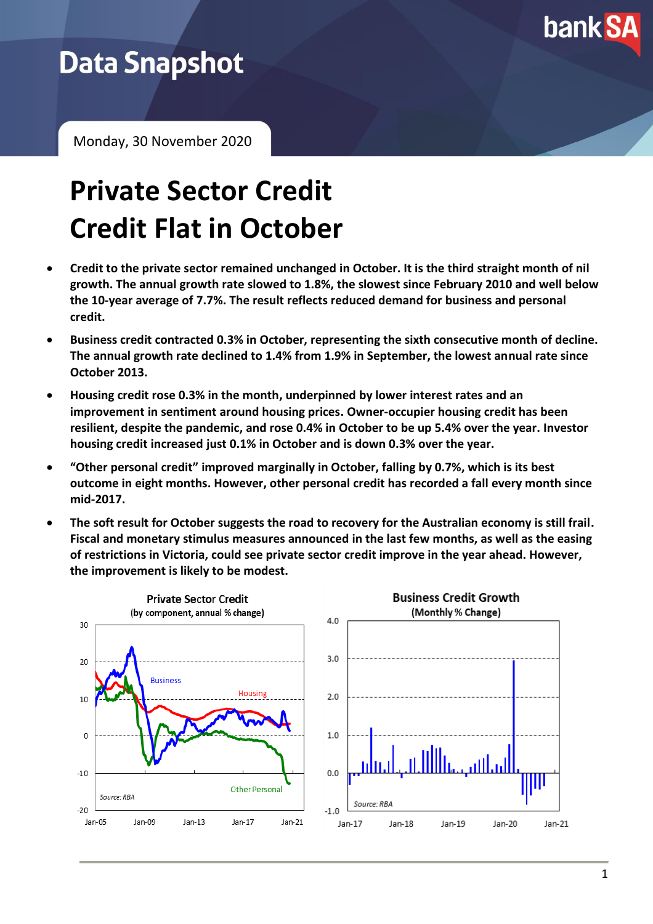

## **Data Snapshot**

Monday, 30 November 2020

# **Private Sector Credit Credit Flat in October**

- **Credit to the private sector remained unchanged in October. It is the third straight month of nil growth. The annual growth rate slowed to 1.8%, the slowest since February 2010 and well below the 10-year average of 7.7%. The result reflects reduced demand for business and personal credit.**
- **Business credit contracted 0.3% in October, representing the sixth consecutive month of decline. The annual growth rate declined to 1.4% from 1.9% in September, the lowest annual rate since October 2013.**
- **Housing credit rose 0.3% in the month, underpinned by lower interest rates and an improvement in sentiment around housing prices. Owner-occupier housing credit has been resilient, despite the pandemic, and rose 0.4% in October to be up 5.4% over the year. Investor housing credit increased just 0.1% in October and is down 0.3% over the year.**
- **"Other personal credit" improved marginally in October, falling by 0.7%, which is its best outcome in eight months. However, other personal credit has recorded a fall every month since mid-2017.**
- **The soft result for October suggests the road to recovery for the Australian economy is still frail. Fiscal and monetary stimulus measures announced in the last few months, as well as the easing of restrictions in Victoria, could see private sector credit improve in the year ahead. However, the improvement is likely to be modest.**

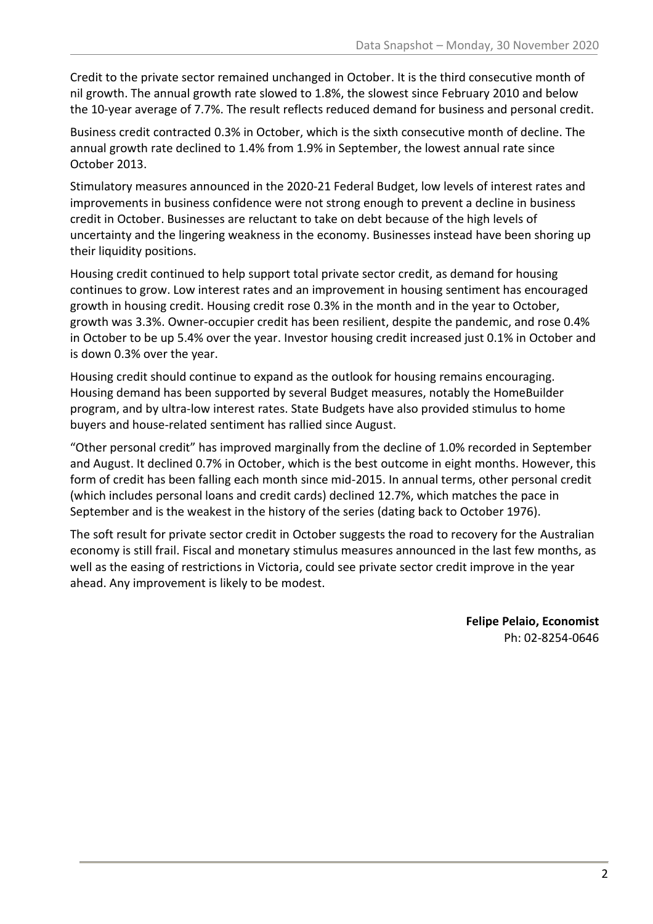Credit to the private sector remained unchanged in October. It is the third consecutive month of nil growth. The annual growth rate slowed to 1.8%, the slowest since February 2010 and below the 10-year average of 7.7%. The result reflects reduced demand for business and personal credit.

Business credit contracted 0.3% in October, which is the sixth consecutive month of decline. The annual growth rate declined to 1.4% from 1.9% in September, the lowest annual rate since October 2013.

Stimulatory measures announced in the 2020-21 Federal Budget, low levels of interest rates and improvements in business confidence were not strong enough to prevent a decline in business credit in October. Businesses are reluctant to take on debt because of the high levels of uncertainty and the lingering weakness in the economy. Businesses instead have been shoring up their liquidity positions.

Housing credit continued to help support total private sector credit, as demand for housing continues to grow. Low interest rates and an improvement in housing sentiment has encouraged growth in housing credit. Housing credit rose 0.3% in the month and in the year to October, growth was 3.3%. Owner-occupier credit has been resilient, despite the pandemic, and rose 0.4% in October to be up 5.4% over the year. Investor housing credit increased just 0.1% in October and is down 0.3% over the year.

Housing credit should continue to expand as the outlook for housing remains encouraging. Housing demand has been supported by several Budget measures, notably the HomeBuilder program, and by ultra-low interest rates. State Budgets have also provided stimulus to home buyers and house-related sentiment has rallied since August.

"Other personal credit" has improved marginally from the decline of 1.0% recorded in September and August. It declined 0.7% in October, which is the best outcome in eight months. However, this form of credit has been falling each month since mid-2015. In annual terms, other personal credit (which includes personal loans and credit cards) declined 12.7%, which matches the pace in September and is the weakest in the history of the series (dating back to October 1976).

The soft result for private sector credit in October suggests the road to recovery for the Australian economy is still frail. Fiscal and monetary stimulus measures announced in the last few months, as well as the easing of restrictions in Victoria, could see private sector credit improve in the year ahead. Any improvement is likely to be modest.

> **Felipe Pelaio, Economist** Ph: 02-8254-0646